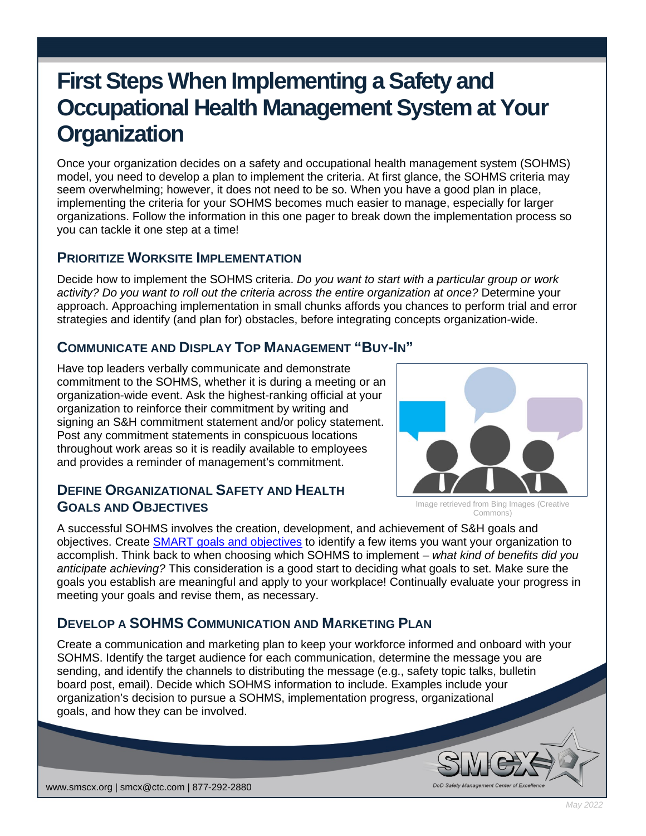# **First Steps When Implementing a Safety and Occupational Health Management System at Your Organization**

Once your organization decides on a safety and occupational health management system (SOHMS) model, you need to develop a plan to implement the criteria. At first glance, the SOHMS criteria may seem overwhelming; however, it does not need to be so. When you have a good plan in place, implementing the criteria for your SOHMS becomes much easier to manage, especially for larger organizations. Follow the information in this one pager to break down the implementation process so you can tackle it one step at a time!

#### **PRIORITIZE WORKSITE IMPLEMENTATION**

Decide how to implement the SOHMS criteria. *Do you want to start with a particular group or work activity? Do you want to roll out the criteria across the entire organization at once?* Determine your approach. Approaching implementation in small chunks affords you chances to perform trial and error strategies and identify (and plan for) obstacles, before integrating concepts organization-wide.

#### **COMMUNICATE AND DISPLAY TOP MANAGEMENT "BUY-IN"**

Have top leaders verbally communicate and demonstrate commitment to the SOHMS, whether it is during a meeting or an organization-wide event. Ask the highest-ranking official at your organization to reinforce their commitment by writing and signing an S&H commitment statement and/or policy statement. Post any commitment statements in conspicuous locations throughout work areas so it is readily available to employees and provides a reminder of management's commitment.

Image retrieved from Bing Images (Creative Commons)

# **DEFINE ORGANIZATIONAL SAFETY AND HEALTH GOALS AND OBJECTIVES**

A successful SOHMS involves the creation, development, and achievement of S&H goals and objectives. Create [SMART goals and objectives](https://smscx.org/Repository/OnePagers/SMCX_OnePager_SMART_Goals_Objectives_Jul21.pdf) to identify a few items you want your organization to accomplish. Think back to when choosing which SOHMS to implement – *what kind of benefits did you anticipate achieving?* This consideration is a good start to deciding what goals to set. Make sure the goals you establish are meaningful and apply to your workplace! Continually evaluate your progress in meeting your goals and revise them, as necessary.

### **DEVELOP A SOHMS COMMUNICATION AND MARKETING PLAN**

Create a communication and marketing plan to keep your workforce informed and onboard with your SOHMS. Identify the target audience for each communication, determine the message you are sending, and identify the channels to distributing the message (e.g., safety topic talks, bulletin board post, email). Decide which SOHMS information to include. Examples include your organization's decision to pursue a SOHMS, implementation progress, organizational goals, and how they can be involved.